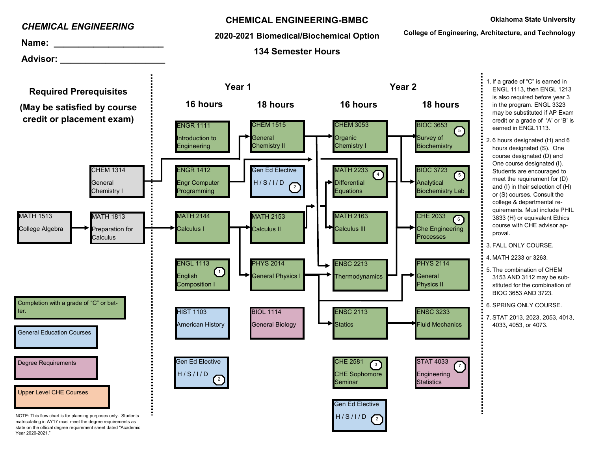

Year 2020-2021."